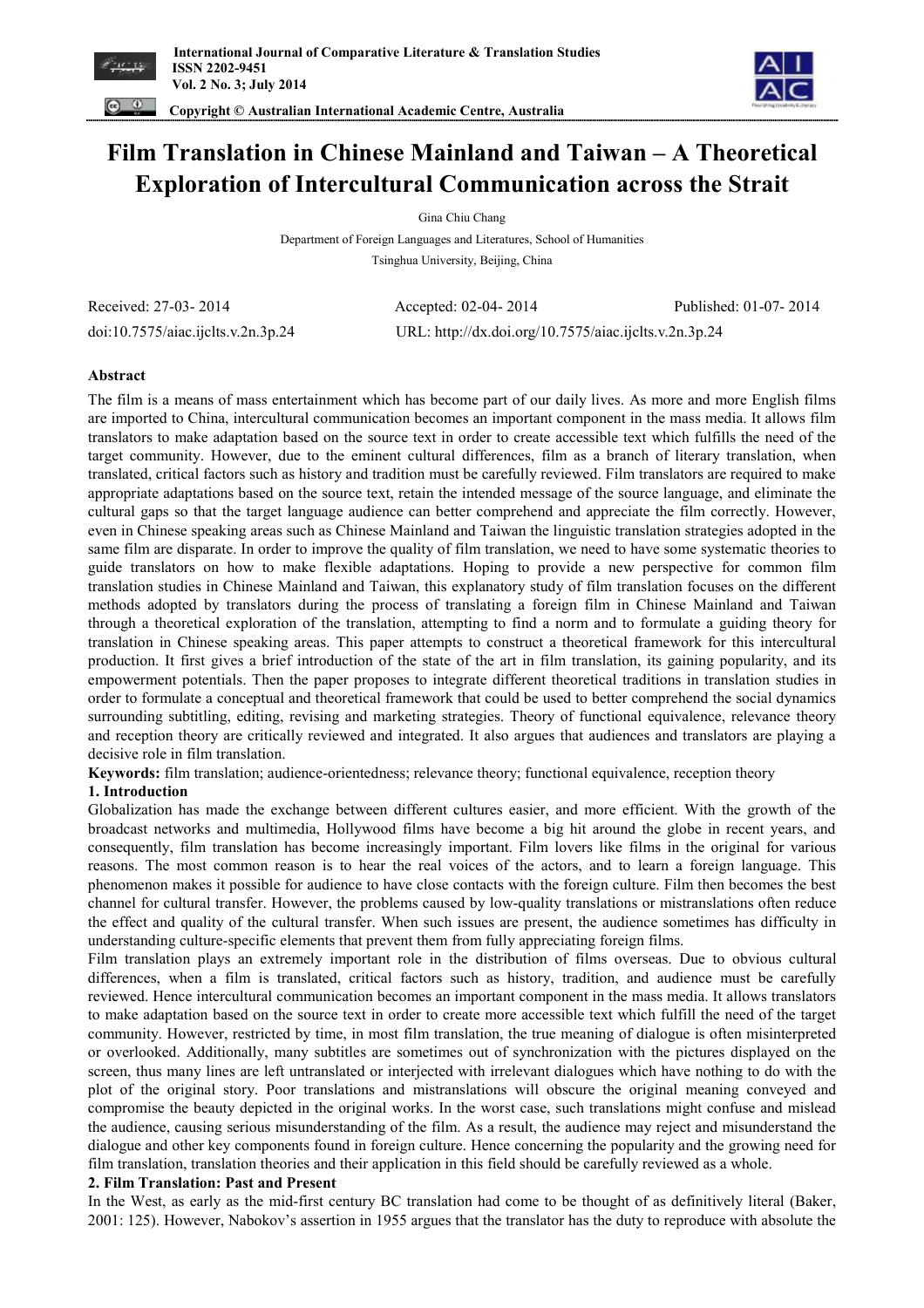



 **Copyright © Australian International Academic Centre, Australia** 

# **Film Translation in Chinese Mainland and Taiwan – A Theoretical Exploration of Intercultural Communication across the Strait**

Gina Chiu Chang

Department of Foreign Languages and Literatures, School of Humanities Tsinghua University, Beijing, China

Received: 27-03- 2014 Accepted: 02-04- 2014 Published: 01-07- 2014 doi:10.7575/aiac.ijclts.v.2n.3p.24 URL: http://dx.doi.org/10.7575/aiac.ijclts.v.2n.3p.24

# **Abstract**

The film is a means of mass entertainment which has become part of our daily lives. As more and more English films are imported to China, intercultural communication becomes an important component in the mass media. It allows film translators to make adaptation based on the source text in order to create accessible text which fulfills the need of the target community. However, due to the eminent cultural differences, film as a branch of literary translation, when translated, critical factors such as history and tradition must be carefully reviewed. Film translators are required to make appropriate adaptations based on the source text, retain the intended message of the source language, and eliminate the cultural gaps so that the target language audience can better comprehend and appreciate the film correctly. However, even in Chinese speaking areas such as Chinese Mainland and Taiwan the linguistic translation strategies adopted in the same film are disparate. In order to improve the quality of film translation, we need to have some systematic theories to guide translators on how to make flexible adaptations. Hoping to provide a new perspective for common film translation studies in Chinese Mainland and Taiwan, this explanatory study of film translation focuses on the different methods adopted by translators during the process of translating a foreign film in Chinese Mainland and Taiwan through a theoretical exploration of the translation, attempting to find a norm and to formulate a guiding theory for translation in Chinese speaking areas. This paper attempts to construct a theoretical framework for this intercultural production. It first gives a brief introduction of the state of the art in film translation, its gaining popularity, and its empowerment potentials. Then the paper proposes to integrate different theoretical traditions in translation studies in order to formulate a conceptual and theoretical framework that could be used to better comprehend the social dynamics surrounding subtitling, editing, revising and marketing strategies. Theory of functional equivalence, relevance theory and reception theory are critically reviewed and integrated. It also argues that audiences and translators are playing a decisive role in film translation.

**Keywords:** film translation; audience-orientedness; relevance theory; functional equivalence, reception theory

# **1. Introduction**

Globalization has made the exchange between different cultures easier, and more efficient. With the growth of the broadcast networks and multimedia, Hollywood films have become a big hit around the globe in recent years, and consequently, film translation has become increasingly important. Film lovers like films in the original for various reasons. The most common reason is to hear the real voices of the actors, and to learn a foreign language. This phenomenon makes it possible for audience to have close contacts with the foreign culture. Film then becomes the best channel for cultural transfer. However, the problems caused by low-quality translations or mistranslations often reduce the effect and quality of the cultural transfer. When such issues are present, the audience sometimes has difficulty in understanding culture-specific elements that prevent them from fully appreciating foreign films.

Film translation plays an extremely important role in the distribution of films overseas. Due to obvious cultural differences, when a film is translated, critical factors such as history, tradition, and audience must be carefully reviewed. Hence intercultural communication becomes an important component in the mass media. It allows translators to make adaptation based on the source text in order to create more accessible text which fulfill the need of the target community. However, restricted by time, in most film translation, the true meaning of dialogue is often misinterpreted or overlooked. Additionally, many subtitles are sometimes out of synchronization with the pictures displayed on the screen, thus many lines are left untranslated or interjected with irrelevant dialogues which have nothing to do with the plot of the original story. Poor translations and mistranslations will obscure the original meaning conveyed and compromise the beauty depicted in the original works. In the worst case, such translations might confuse and mislead the audience, causing serious misunderstanding of the film. As a result, the audience may reject and misunderstand the dialogue and other key components found in foreign culture. Hence concerning the popularity and the growing need for film translation, translation theories and their application in this field should be carefully reviewed as a whole.

# **2. Film Translation: Past and Present**

In the West, as early as the mid-first century BC translation had come to be thought of as definitively literal (Baker, 2001: 125). However, Nabokov's assertion in 1955 argues that the translator has the duty to reproduce with absolute the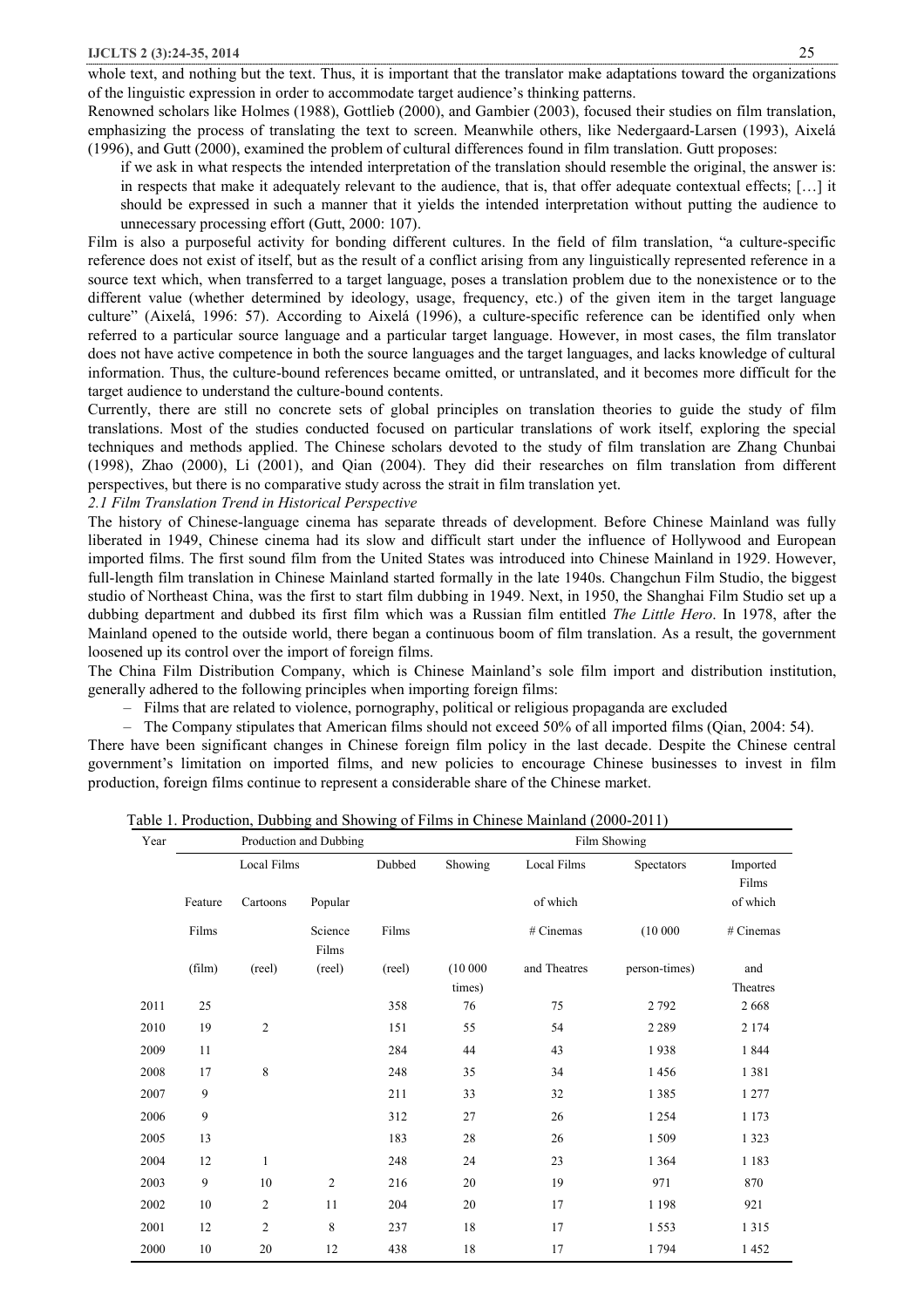whole text, and nothing but the text. Thus, it is important that the translator make adaptations toward the organizations of the linguistic expression in order to accommodate target audience's thinking patterns.

Renowned scholars like Holmes (1988), Gottlieb (2000), and Gambier (2003), focused their studies on film translation, emphasizing the process of translating the text to screen. Meanwhile others, like Nedergaard-Larsen (1993), Aixelá (1996), and Gutt (2000), examined the problem of cultural differences found in film translation. Gutt proposes:

if we ask in what respects the intended interpretation of the translation should resemble the original, the answer is: in respects that make it adequately relevant to the audience, that is, that offer adequate contextual effects; […] it should be expressed in such a manner that it yields the intended interpretation without putting the audience to unnecessary processing effort (Gutt, 2000: 107).

Film is also a purposeful activity for bonding different cultures. In the field of film translation, "a culture-specific reference does not exist of itself, but as the result of a conflict arising from any linguistically represented reference in a source text which, when transferred to a target language, poses a translation problem due to the nonexistence or to the different value (whether determined by ideology, usage, frequency, etc.) of the given item in the target language culture" (Aixelá, 1996: 57). According to Aixelá (1996), a culture-specific reference can be identified only when referred to a particular source language and a particular target language. However, in most cases, the film translator does not have active competence in both the source languages and the target languages, and lacks knowledge of cultural information. Thus, the culture-bound references became omitted, or untranslated, and it becomes more difficult for the target audience to understand the culture-bound contents.

Currently, there are still no concrete sets of global principles on translation theories to guide the study of film translations. Most of the studies conducted focused on particular translations of work itself, exploring the special techniques and methods applied. The Chinese scholars devoted to the study of film translation are Zhang Chunbai (1998), Zhao (2000), Li (2001), and Qian (2004). They did their researches on film translation from different perspectives, but there is no comparative study across the strait in film translation yet.

*2.1 Film Translation Trend in Historical Perspective* 

The history of Chinese-language cinema has separate threads of development. Before Chinese Mainland was fully liberated in 1949, Chinese cinema had its slow and difficult start under the influence of Hollywood and European imported films. The first sound film from the United States was introduced into Chinese Mainland in 1929. However, full-length film translation in Chinese Mainland started formally in the late 1940s. Changchun Film Studio, the biggest studio of Northeast China, was the first to start film dubbing in 1949. Next, in 1950, the Shanghai Film Studio set up a dubbing department and dubbed its first film which was a Russian film entitled *The Little Hero*. In 1978, after the Mainland opened to the outside world, there began a continuous boom of film translation. As a result, the government loosened up its control over the import of foreign films.

The China Film Distribution Company, which is Chinese Mainland's sole film import and distribution institution, generally adhered to the following principles when importing foreign films:

– Films that are related to violence, pornography, political or religious propaganda are excluded

– The Company stipulates that American films should not exceed 50% of all imported films (Qian, 2004: 54).

There have been significant changes in Chinese foreign film policy in the last decade. Despite the Chinese central government's limitation on imported films, and new policies to encourage Chinese businesses to invest in film production, foreign films continue to represent <sup>a</sup> considerable share of the Chinese market.

| Table 1. Production, Dubbing and Showing of Films in Chinese Mainland (2000-2011) |  |  |  |
|-----------------------------------------------------------------------------------|--|--|--|
|                                                                                   |  |  |  |

| Year |         |                | Production and Dubbing |        |                   |              | Film Showing  |                   |
|------|---------|----------------|------------------------|--------|-------------------|--------------|---------------|-------------------|
|      |         | Local Films    |                        | Dubbed | Showing           | Local Films  | Spectators    | Imported<br>Films |
|      | Feature | Cartoons       | Popular                |        |                   | of which     |               | of which          |
|      | Films   |                | Science<br>Films       | Films  |                   | # Cinemas    | (10000)       | # Cinemas         |
|      | (film)  | (reel)         | (reel)                 | (reel) | (10000)<br>times) | and Theatres | person-times) | and<br>Theatres   |
| 2011 | 25      |                |                        | 358    | 76                | 75           | 2 7 9 2       | 2668              |
| 2010 | 19      | $\overline{2}$ |                        | 151    | 55                | 54           | 2 2 8 9       | 2 1 7 4           |
| 2009 | 11      |                |                        | 284    | 44                | 43           | 1938          | 1844              |
| 2008 | 17      | 8              |                        | 248    | 35                | 34           | 1456          | 1381              |
| 2007 | 9       |                |                        | 211    | 33                | 32           | 1 3 8 5       | 1 2 7 7           |
| 2006 | 9       |                |                        | 312    | 27                | 26           | 1 2 5 4       | 1 1 7 3           |
| 2005 | 13      |                |                        | 183    | 28                | 26           | 1 509         | 1 3 2 3           |
| 2004 | 12      | 1              |                        | 248    | 24                | 23           | 1 3 6 4       | 1 1 8 3           |
| 2003 | 9       | 10             | $\overline{2}$         | 216    | 20                | 19           | 971           | 870               |
| 2002 | 10      | $\mathfrak{2}$ | 11                     | 204    | 20                | 17           | 1 1 9 8       | 921               |
| 2001 | 12      | $\mathfrak{2}$ | 8                      | 237    | 18                | 17           | 1 5 5 3       | 1 3 1 5           |
| 2000 | 10      | 20             | 12                     | 438    | 18                | 17           | 1794          | 1452              |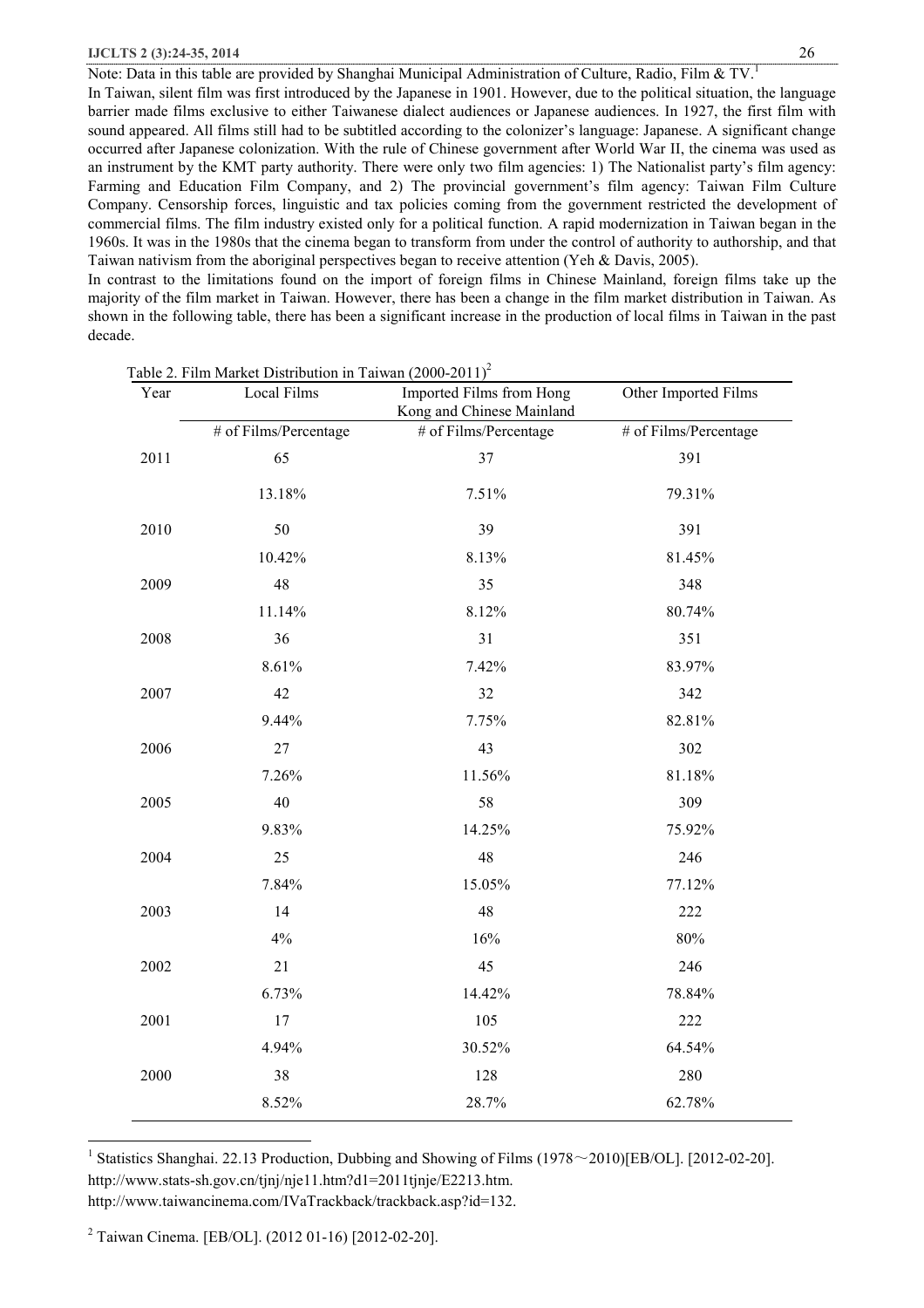Note: Data in this table are provided by Shanghai Municipal Administration of Culture, Radio, Film & TV.<sup>1</sup> In Taiwan, silent film was first introduced by the Japanese in 1901. However, due to the political situation, the language barrier made films exclusive to either Taiwanese dialect audiences or Japanese audiences. In 1927, the first film with sound appeared. All films still had to be subtitled according to the colonizer's language: Japanese. A significant change occurred after Japanese colonization. With the rule of Chinese government after World War II, the cinema was used as an instrument by the KMT party authority. There were only two film agencies: 1) The Nationalist party's film agency: Farming and Education Film Company, and 2) The provincial government's film agency: Taiwan Film Culture Company. Censorship forces, linguistic and tax policies coming from the government restricted the development of commercial films. The film industry existed only for a political function. A rapid modernization in Taiwan began in the 1960s. It was in the 1980s that the cinema began to transform from under the control of authority to authorship, and that Taiwan nativism from the aboriginal perspectives began to receive attention (Yeh & Davis, 2005).

In contrast to the limitations found on the import of foreign films in Chinese Mainland, foreign films take up the majority of the film market in Taiwan. However, there has been a change in the film market distribution in Taiwan. As shown in the following table, there has been a significant increase in the production of local films in Taiwan in the past decade.

| Year | Local Films           | Imported Films from Hong<br>Other Imported Films |                       |
|------|-----------------------|--------------------------------------------------|-----------------------|
|      |                       | Kong and Chinese Mainland                        |                       |
|      | # of Films/Percentage | # of Films/Percentage                            | # of Films/Percentage |
| 2011 | 65                    | 37                                               | 391                   |
|      | 13.18%                | 7.51%                                            | 79.31%                |
| 2010 | 50                    | 39                                               | 391                   |
|      | 10.42%                | 8.13%                                            | 81.45%                |
| 2009 | 48                    | 35                                               | 348                   |
|      | 11.14%                | 8.12%                                            | 80.74%                |
| 2008 | 36                    | 31                                               | 351                   |
|      | 8.61%                 | 7.42%                                            | 83.97%                |
| 2007 | 42                    | 32                                               | 342                   |
|      | 9.44%                 | 7.75%                                            | 82.81%                |
| 2006 | 27                    | 43                                               | 302                   |
|      | 7.26%                 | 11.56%                                           | 81.18%                |
| 2005 | 40                    | 58                                               | 309                   |
|      | 9.83%                 | 14.25%                                           | 75.92%                |
| 2004 | 25                    | 48                                               | 246                   |
|      | 7.84%                 | 15.05%                                           | 77.12%                |
| 2003 | 14                    | 48                                               | 222                   |
|      | 4%                    | 16%                                              | $80\%$                |
| 2002 | 21                    | 45                                               | 246                   |
|      | 6.73%                 | 14.42%                                           | 78.84%                |
| 2001 | 17                    | 105                                              | 222                   |
|      | 4.94%                 | 30.52%                                           | 64.54%                |
| 2000 | 38                    | 128                                              | 280                   |
|      | 8.52%                 | 28.7%                                            | 62.78%                |

Table 2. Film Market Distribution in Taiwan  $(2000-2011)^2$ 

<sup>1</sup> Statistics Shanghai. 22.13 Production, Dubbing and Showing of Films (1978 $\sim$ 2010)[EB/OL]. [2012-02-20]. http://www.stats-sh.gov.cn/tjnj/nje11.htm?d1=2011tjnje/E2213.htm. http://www.taiwancinema.com/IVaTrackback/trackback.asp?id=132.

<sup>2</sup> Taiwan Cinema. [EB/OL]. (2012 01-16) [2012-02-20].

 $\overline{a}$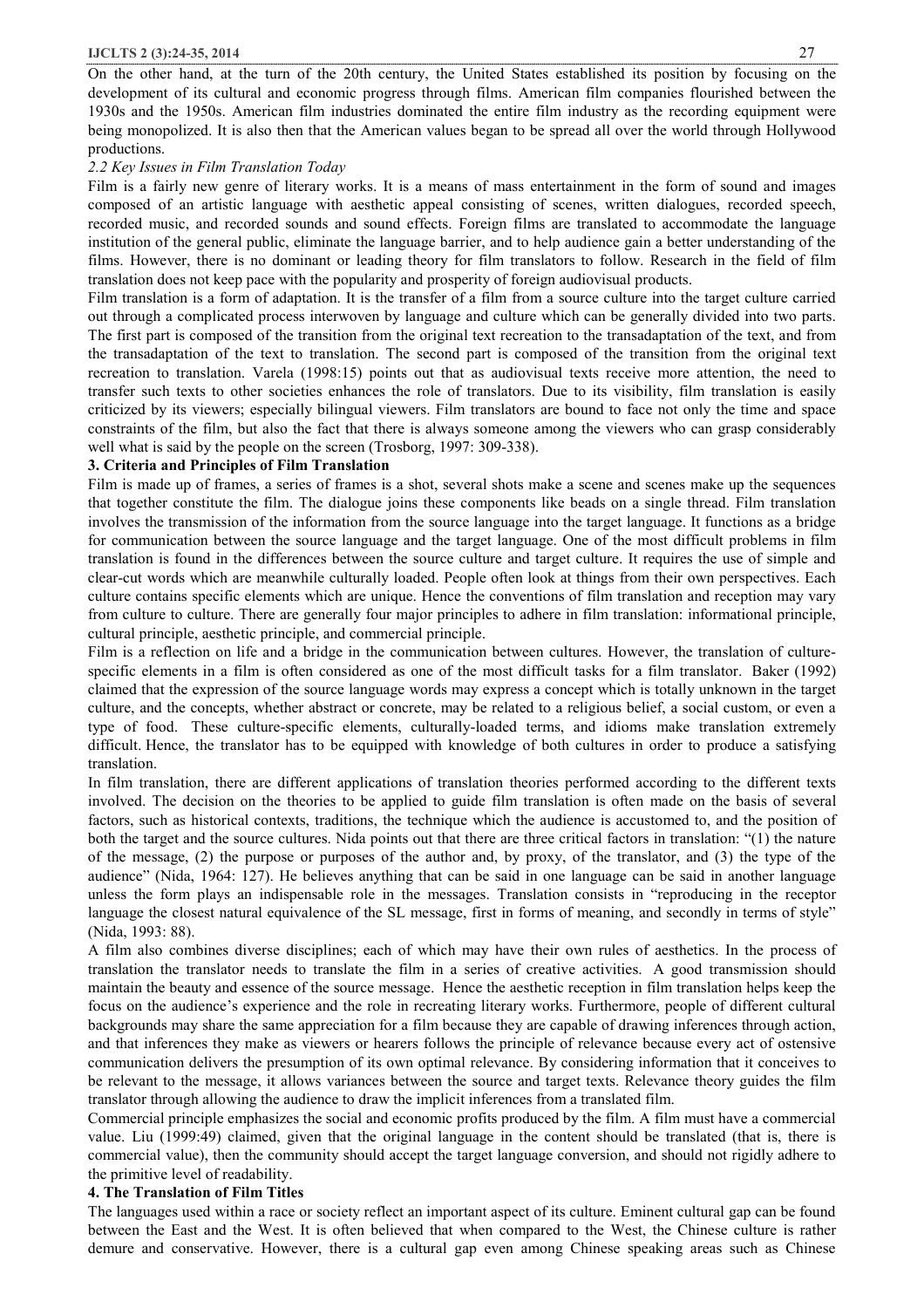On the other hand, at the turn of the 20th century, the United States established its position by focusing on the development of its cultural and economic progress through films. American film companies flourished between the 1930s and the 1950s. American film industries dominated the entire film industry as the recording equipment were being monopolized. It is also then that the American values began to be spread all over the world through Hollywood productions.

#### *2.2 Key Issues in Film Translation Today*

Film is a fairly new genre of literary works. It is a means of mass entertainment in the form of sound and images composed of an artistic language with aesthetic appeal consisting of scenes, written dialogues, recorded speech, recorded music, and recorded sounds and sound effects. Foreign films are translated to accommodate the language institution of the general public, eliminate the language barrier, and to help audience gain a better understanding of the films. However, there is no dominant or leading theory for film translators to follow. Research in the field of film translation does not keep pace with the popularity and prosperity of foreign audiovisual products.

Film translation is a form of adaptation. It is the transfer of a film from a source culture into the target culture carried out through a complicated process interwoven by language and culture which can be generally divided into two parts. The first part is composed of the transition from the original text recreation to the transadaptation of the text, and from the transadaptation of the text to translation. The second part is composed of the transition from the original text recreation to translation. Varela (1998:15) points out that as audiovisual texts receive more attention, the need to transfer such texts to other societies enhances the role of translators. Due to its visibility, film translation is easily criticized by its viewers; especially bilingual viewers. Film translators are bound to face not only the time and space constraints of the film, but also the fact that there is always someone among the viewers who can grasp considerably well what is said by the people on the screen (Trosborg, 1997: 309-338).

#### **3. Criteria and Principles of Film Translation**

Film is made up of frames, a series of frames is a shot, several shots make a scene and scenes make up the sequences that together constitute the film. The dialogue joins these components like beads on a single thread. Film translation involves the transmission of the information from the source language into the target language. It functions as a bridge for communication between the source language and the target language. One of the most difficult problems in film translation is found in the differences between the source culture and target culture. It requires the use of simple and clear-cut words which are meanwhile culturally loaded. People often look at things from their own perspectives. Each culture contains specific elements which are unique. Hence the conventions of film translation and reception may vary from culture to culture. There are generally four major principles to adhere in film translation: informational principle, cultural principle, aesthetic principle, and commercial principle.

Film is a reflection on life and a bridge in the communication between cultures. However, the translation of culturespecific elements in a film is often considered as one of the most difficult tasks for a film translator. Baker (1992) claimed that the expression of the source language words may express a concept which is totally unknown in the target culture, and the concepts, whether abstract or concrete, may be related to a religious belief, a social custom, or even a type of food. These culture-specific elements, culturally-loaded terms, and idioms make translation extremely difficult. Hence, the translator has to be equipped with knowledge of both cultures in order to produce a satisfying translation.

In film translation, there are different applications of translation theories performed according to the different texts involved. The decision on the theories to be applied to guide film translation is often made on the basis of several factors, such as historical contexts, traditions, the technique which the audience is accustomed to, and the position of both the target and the source cultures. Nida points out that there are three critical factors in translation: "(1) the nature of the message, (2) the purpose or purposes of the author and, by proxy, of the translator, and (3) the type of the audience" (Nida, 1964: 127). He believes anything that can be said in one language can be said in another language unless the form plays an indispensable role in the messages. Translation consists in "reproducing in the receptor language the closest natural equivalence of the SL message, first in forms of meaning, and secondly in terms of style" (Nida, 1993: 88).

A film also combines diverse disciplines; each of which may have their own rules of aesthetics. In the process of translation the translator needs to translate the film in a series of creative activities. A good transmission should maintain the beauty and essence of the source message. Hence the aesthetic reception in film translation helps keep the focus on the audience's experience and the role in recreating literary works. Furthermore, people of different cultural backgrounds may share the same appreciation for a film because they are capable of drawing inferences through action, and that inferences they make as viewers or hearers follows the principle of relevance because every act of ostensive communication delivers the presumption of its own optimal relevance. By considering information that it conceives to be relevant to the message, it allows variances between the source and target texts. Relevance theory guides the film translator through allowing the audience to draw the implicit inferences from a translated film.

Commercial principle emphasizes the social and economic profits produced by the film. A film must have a commercial value. Liu (1999:49) claimed, given that the original language in the content should be translated (that is, there is commercial value), then the community should accept the target language conversion, and should not rigidly adhere to the primitive level of readability.

#### **4. The Translation of Film Titles**

The languages used within a race or society reflect an important aspect of its culture. Eminent cultural gap can be found between the East and the West. It is often believed that when compared to the West, the Chinese culture is rather demure and conservative. However, there is a cultural gap even among Chinese speaking areas such as Chinese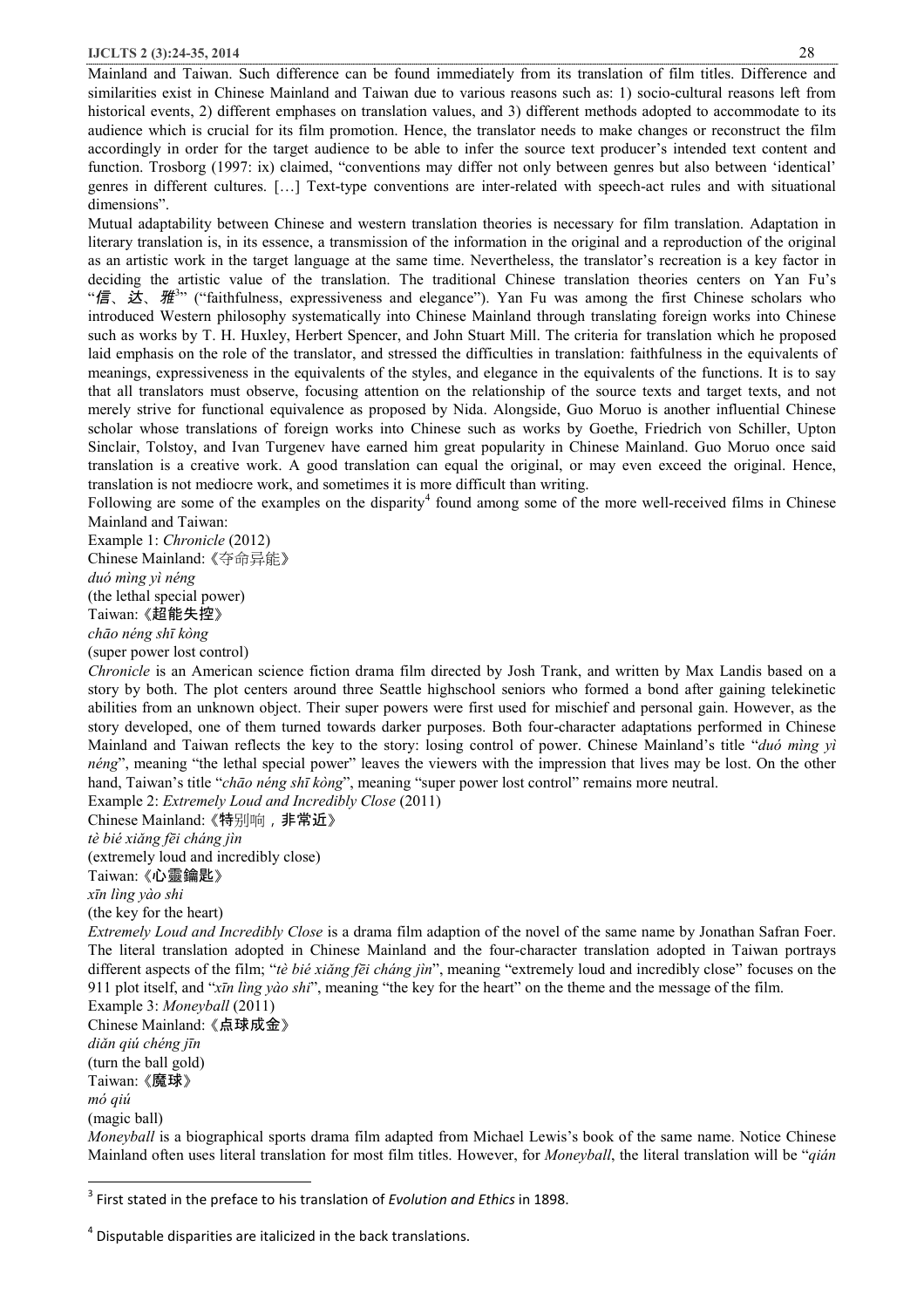#### **IJCLTS 2 (3):24-35, 2014** 28

Mainland and Taiwan. Such difference can be found immediately from its translation of film titles. Difference and similarities exist in Chinese Mainland and Taiwan due to various reasons such as: 1) socio-cultural reasons left from historical events, 2) different emphases on translation values, and 3) different methods adopted to accommodate to its audience which is crucial for its film promotion. Hence, the translator needs to make changes or reconstruct the film accordingly in order for the target audience to be able to infer the source text producer's intended text content and function. Trosborg (1997: ix) claimed, "conventions may differ not only between genres but also between 'identical' genres in different cultures. […] Text-type conventions are inter-related with speech-act rules and with situational dimensions".

Mutual adaptability between Chinese and western translation theories is necessary for film translation. Adaptation in literary translation is, in its essence, a transmission of the information in the original and a reproduction of the original as an artistic work in the target language at the same time. Nevertheless, the translator's recreation is a key factor in deciding the artistic value of the translation. The traditional Chinese translation theories centers on Yan Fu's "*信*、*达*、*雅*<sup>3</sup> " ("faithfulness, expressiveness and elegance"). Yan Fu was among the first Chinese scholars who introduced Western philosophy systematically into Chinese Mainland through translating foreign works into Chinese such as works by T. H. Huxley, Herbert Spencer, and John Stuart Mill. The criteria for translation which he proposed laid emphasis on the role of the translator, and stressed the difficulties in translation: faithfulness in the equivalents of meanings, expressiveness in the equivalents of the styles, and elegance in the equivalents of the functions. It is to say that all translators must observe, focusing attention on the relationship of the source texts and target texts, and not merely strive for functional equivalence as proposed by Nida. Alongside, Guo Moruo is another influential Chinese scholar whose translations of foreign works into Chinese such as works by Goethe, Friedrich von Schiller, Upton Sinclair, Tolstoy, and Ivan Turgenev have earned him great popularity in Chinese Mainland. Guo Moruo once said translation is a creative work. A good translation can equal the original, or may even exceed the original. Hence, translation is not mediocre work, and sometimes it is more difficult than writing.

Following are some of the examples on the disparity<sup>4</sup> found among some of the more well-received films in Chinese Mainland and Taiwan:

Example 1: *Chronicle* (2012) Chinese Mainland: 《夺命异能》 *duó mìng yì néng*  (the lethal special power) Taiwan: 《超能失控》 *chāo néng shī kòng*  (super power lost control)

*Chronicle* is an American science fiction drama film directed by Josh Trank, and written by Max Landis based on a story by both. The plot centers around three Seattle highschool seniors who formed a bond after gaining telekinetic abilities from an unknown object. Their super powers were first used for mischief and personal gain. However, as the story developed, one of them turned towards darker purposes. Both four-character adaptations performed in Chinese Mainland and Taiwan reflects the key to the story: losing control of power. Chinese Mainland's title "*duó mìng yì néng*", meaning "the lethal special power" leaves the viewers with the impression that lives may be lost. On the other hand, Taiwan's title "*chāo néng shī kòng*", meaning "super power lost control" remains more neutral.

Example 2: *Extremely Loud and Incredibly Close* (2011)

Chinese Mainland: 《特别响,非常近》

*tè bié xiǎng fēi cháng jìn* 

(extremely loud and incredibly close) Taiwan: 《心靈鑰匙》

*xīn lìng yào shi* 

(the key for the heart)

*Extremely Loud and Incredibly Close* is a drama film adaption of the novel of the same name by Jonathan Safran Foer. The literal translation adopted in Chinese Mainland and the four-character translation adopted in Taiwan portrays different aspects of the film; "*tè bié xiǎng fēi cháng jìn*", meaning "extremely loud and incredibly close" focuses on the 911 plot itself, and "*xīn lìng yào shi*", meaning "the key for the heart" on the theme and the message of the film.

Example 3: *Moneyball* (2011) Chinese Mainland: 《点球成金》 *diǎn qiú chéng jīn*  (turn the ball gold) Taiwan: 《魔球》 *mó qiú*  (magic ball)

l

*Moneyball* is a biographical sports drama film adapted from Michael Lewis's book of the same name. Notice Chinese Mainland often uses literal translation for most film titles. However, for *Moneyball*, the literal translation will be "*qián* 

<sup>3</sup> First stated in the preface to his translation of *Evolution and Ethics* in 1898.

 $<sup>4</sup>$  Disputable disparities are italicized in the back translations.</sup>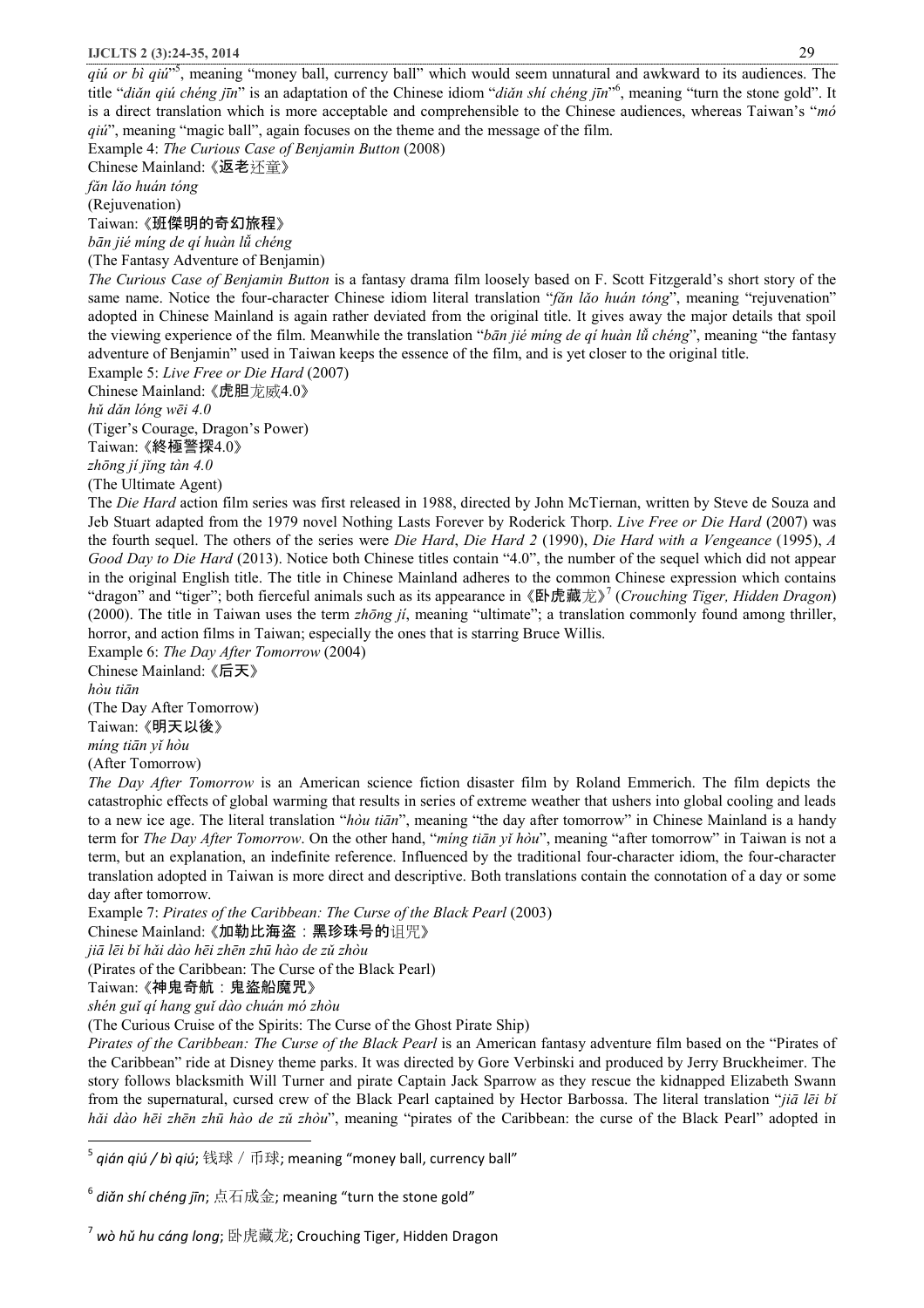*qiú or bì qiú*" 5 , meaning "money ball, currency ball" which would seem unnatural and awkward to its audiences. The title "*diǎn qiú chéng jīn*" is an adaptation of the Chinese idiom "*diǎn shí chéng jīn*" 6 , meaning "turn the stone gold". It is a direct translation which is more acceptable and comprehensible to the Chinese audiences, whereas Taiwan's "*mó qiú*", meaning "magic ball", again focuses on the theme and the message of the film.

Example 4: *The Curious Case of Benjamin Button* (2008)

Chinese Mainland: 《返老还童》

*fǎn lǎo huán tóng* 

(Rejuvenation)

Taiwan: 《班傑明的奇幻旅程》

*bān jié míng de qí huàn lǚ chéng* 

(The Fantasy Adventure of Benjamin)

*The Curious Case of Benjamin Button* is a fantasy drama film loosely based on F. Scott Fitzgerald's short story of the same name. Notice the four-character Chinese idiom literal translation "*fǎn lǎo huán tóng*", meaning "rejuvenation" adopted in Chinese Mainland is again rather deviated from the original title. It gives away the major details that spoil the viewing experience of the film. Meanwhile the translation "*bān jié míng de qí huàn lǚ chéng*", meaning "the fantasy adventure of Benjamin" used in Taiwan keeps the essence of the film, and is yet closer to the original title.

Example 5: *Live Free or Die Hard* (2007)

Chinese Mainland: 《虎胆龙威4.0》

*hǔ dǎn lóng wēi 4.0* 

(Tiger's Courage, Dragon's Power)

Taiwan: 《終極警探4.0》

*zhōng jí jǐng tàn 4.0* 

(The Ultimate Agent)

The *Die Hard* action film series was first released in 1988, directed by John McTiernan, written by Steve de Souza and Jeb Stuart adapted from the 1979 novel Nothing Lasts Forever by Roderick Thorp. *Live Free or Die Hard* (2007) was the fourth sequel. The others of the series were *Die Hard*, *Die Hard 2* (1990), *Die Hard with a Vengeance* (1995), *A Good Day to Die Hard* (2013). Notice both Chinese titles contain "4.0", the number of the sequel which did not appear in the original English title. The title in Chinese Mainland adheres to the common Chinese expression which contains "dragon" and "tiger"; both fierceful animals such as its appearance in 《卧虎藏龙》 7 (*Crouching Tiger, Hidden Dragon*) (2000). The title in Taiwan uses the term *zhōng jí*, meaning "ultimate"; a translation commonly found among thriller, horror, and action films in Taiwan; especially the ones that is starring Bruce Willis.

Example 6: *The Day After Tomorrow* (2004) Chinese Mainland: 《后天》

*hòu tiān* 

l

(The Day After Tomorrow) Taiwan: 《明天以後》 *míng tiān yǐ hòu* 

(After Tomorrow)

*The Day After Tomorrow* is an American science fiction disaster film by Roland Emmerich. The film depicts the catastrophic effects of global warming that results in series of extreme weather that ushers into global cooling and leads to a new ice age. The literal translation "*hòu tiān*", meaning "the day after tomorrow" in Chinese Mainland is a handy term for *The Day After Tomorrow*. On the other hand, "*míng tiān yǐ hòu*", meaning "after tomorrow" in Taiwan is not a term, but an explanation, an indefinite reference. Influenced by the traditional four-character idiom, the four-character translation adopted in Taiwan is more direct and descriptive. Both translations contain the connotation of a day or some day after tomorrow.

Example 7: *Pirates of the Caribbean: The Curse of the Black Pearl* (2003)

Chinese Mainland: 《加勒比海盗:黑珍珠号的诅咒》

*jiā lēi bǐ hǎi dào hēi zhēn zhū hào de zǔ zhòu* 

(Pirates of the Caribbean: The Curse of the Black Pearl)

Taiwan: 《神鬼奇航:鬼盜船魔咒》

*shén guǐ qí hang guǐ dào chuán mó zhòu* 

(The Curious Cruise of the Spirits: The Curse of the Ghost Pirate Ship)

*Pirates of the Caribbean: The Curse of the Black Pearl* is an American fantasy adventure film based on the "Pirates of the Caribbean" ride at Disney theme parks. It was directed by Gore Verbinski and produced by Jerry Bruckheimer. The story follows blacksmith Will Turner and pirate Captain Jack Sparrow as they rescue the kidnapped Elizabeth Swann from the supernatural, cursed crew of the Black Pearl captained by Hector Barbossa. The literal translation "*jiā lēi bǐ hǎi dào hēi zhēn zhū hào de zǔ zhòu*", meaning "pirates of the Caribbean: the curse of the Black Pearl" adopted in

<sup>&</sup>lt;sup>5</sup> q*ián qiú / bì qiú*; 钱球 / 币球; meaning "money ball, currency ball"

<sup>6</sup> *diǎn shí chéng jīn*; 点石成金; meaning "turn the stone gold"

<sup>7</sup> *wò hǔ hu cáng long*; 卧虎藏龙; Crouching Tiger, Hidden Dragon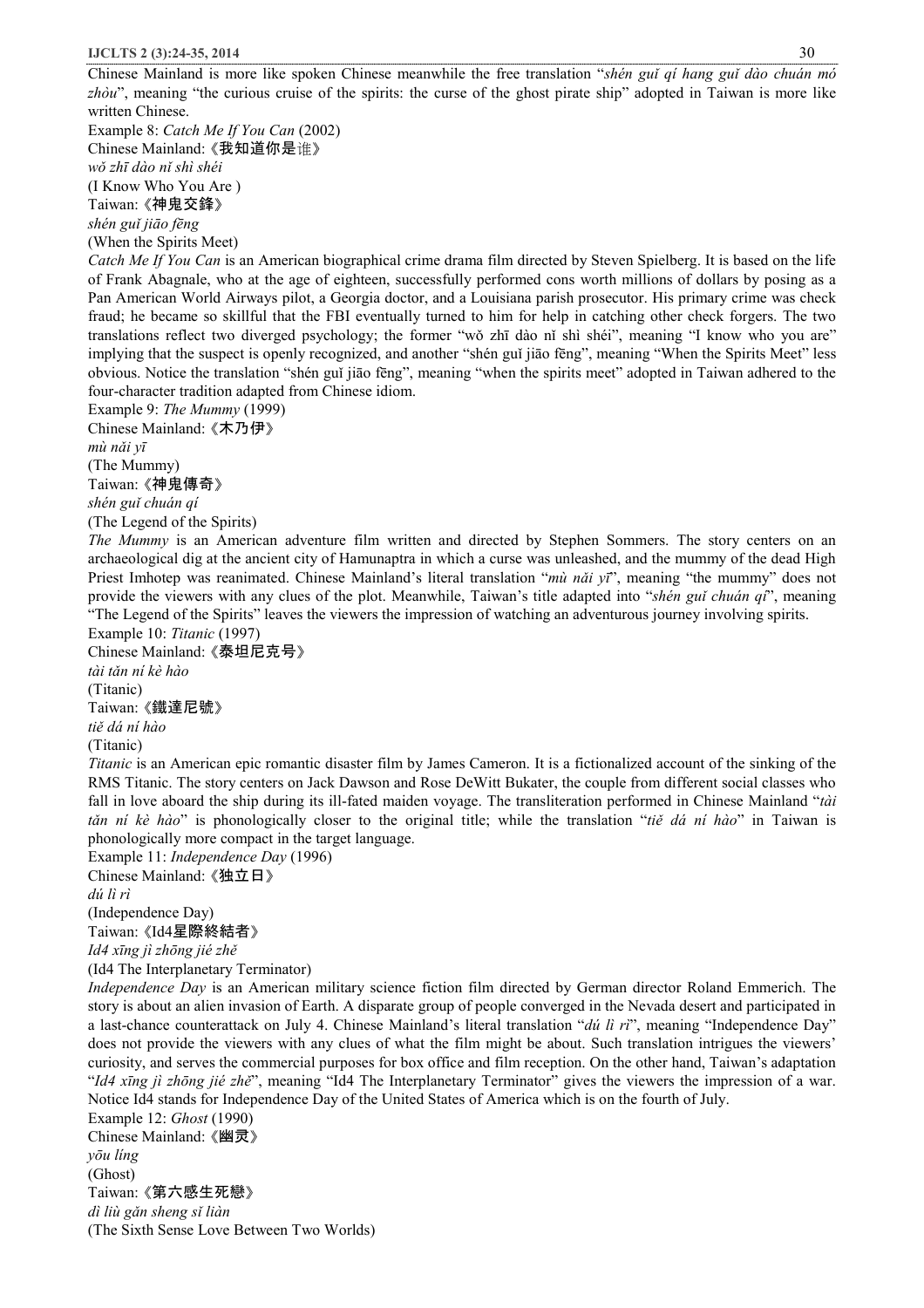Chinese Mainland is more like spoken Chinese meanwhile the free translation "*shén guǐ qí hang guǐ dào chuán mó zhòu*", meaning "the curious cruise of the spirits: the curse of the ghost pirate ship" adopted in Taiwan is more like written Chinese.

Example 8: *Catch Me If You Can* (2002) Chinese Mainland: 《我知道你是谁》 *wǒ zhī dào nǐ shì shéi*  (I Know Who You Are ) Taiwan: 《神鬼交鋒》 *shén guǐ jiāo fēng*

(When the Spirits Meet)

*Catch Me If You Can* is an American biographical crime drama film directed by Steven Spielberg. It is based on the life of Frank Abagnale, who at the age of eighteen, successfully performed cons worth millions of dollars by posing as a Pan American World Airways pilot, a Georgia doctor, and a Louisiana parish prosecutor. His primary crime was check fraud; he became so skillful that the FBI eventually turned to him for help in catching other check forgers. The two translations reflect two diverged psychology; the former "wǒ zhī dào nǐ shì shéi", meaning "I know who you are" implying that the suspect is openly recognized, and another "shén guǐ jiāo fēng", meaning "When the Spirits Meet" less obvious. Notice the translation "shén guǐ jiāo fēng", meaning "when the spirits meet" adopted in Taiwan adhered to the four-character tradition adapted from Chinese idiom.

Example 9: *The Mummy* (1999) Chinese Mainland: 《木乃伊》

*mù nǎi yī* 

(The Mummy)

Taiwan: 《神鬼傳奇》

*shén guǐ chuán qí* 

(The Legend of the Spirits)

*The Mummy* is an American adventure film written and directed by Stephen Sommers. The story centers on an archaeological dig at the ancient city of Hamunaptra in which a curse was unleashed, and the mummy of the dead High Priest Imhotep was reanimated. Chinese Mainland's literal translation "*mù nǎi yī*", meaning "the mummy" does not provide the viewers with any clues of the plot. Meanwhile, Taiwan's title adapted into "*shén guǐ chuán qí*", meaning "The Legend of the Spirits" leaves the viewers the impression of watching an adventurous journey involving spirits.

Example 10: *Titanic* (1997) Chinese Mainland: 《泰坦尼克号》 *tài tǎn ní kè hào*  (Titanic) Taiwan: 《鐵達尼號》 *tiě dá ní hào*  (Titanic)

*Titanic* is an American epic romantic disaster film by James Cameron. It is a fictionalized account of the sinking of the RMS Titanic. The story centers on Jack Dawson and Rose DeWitt Bukater, the couple from different social classes who fall in love aboard the ship during its ill-fated maiden voyage. The transliteration performed in Chinese Mainland "*tài tǎn ní kè hào*" is phonologically closer to the original title; while the translation "*tiě dá ní hào*" in Taiwan is phonologically more compact in the target language.

Example 11: *Independence Day* (1996) Chinese Mainland: 《独立日》 *dú lì rì*  (Independence Day) Taiwan: 《Id4星際終結者》 *Id4 xīng jì zhōng jié zhě* (Id4 The Interplanetary Terminator)

*Independence Day* is an American military science fiction film directed by German director Roland Emmerich. The story is about an alien invasion of Earth. A disparate group of people converged in the Nevada desert and participated in a last-chance counterattack on July 4. Chinese Mainland's literal translation "*dú lì rì*", meaning "Independence Day" does not provide the viewers with any clues of what the film might be about. Such translation intrigues the viewers' curiosity, and serves the commercial purposes for box office and film reception. On the other hand, Taiwan's adaptation "*Id4 xīng jì zhōng jié zhě*", meaning "Id4 The Interplanetary Terminator" gives the viewers the impression of a war. Notice Id4 stands for Independence Day of the United States of America which is on the fourth of July.

Example 12: *Ghost* (1990) Chinese Mainland: 《幽灵》 *yōu líng*  (Ghost) Taiwan: 《第六感生死戀》 *dì liù gǎn sheng sǐ liàn*  (The Sixth Sense Love Between Two Worlds)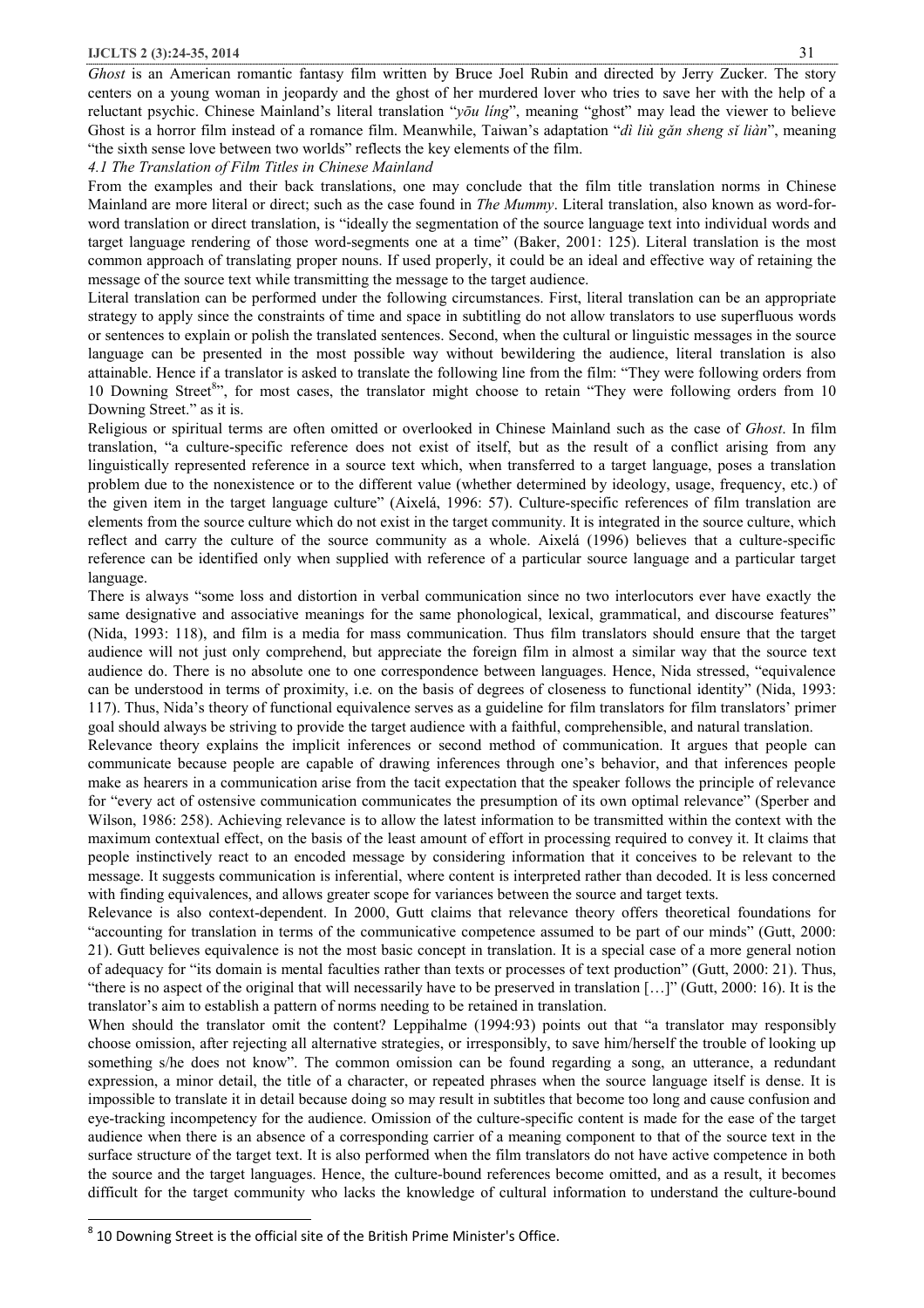#### **IJCLTS 2 (3):24-35, 2014** 31

*Ghost* is an American romantic fantasy film written by Bruce Joel Rubin and directed by Jerry Zucker. The story centers on a young woman in jeopardy and the ghost of her murdered lover who tries to save her with the help of a reluctant psychic. Chinese Mainland's literal translation "*yōu líng*", meaning "ghost" may lead the viewer to believe Ghost is a horror film instead of a romance film. Meanwhile, Taiwan's adaptation "*dì liù gǎn sheng sǐ liàn*", meaning "the sixth sense love between two worlds" reflects the key elements of the film.

*4.1 The Translation of Film Titles in Chinese Mainland* 

From the examples and their back translations, one may conclude that the film title translation norms in Chinese Mainland are more literal or direct; such as the case found in *The Mummy*. Literal translation, also known as word-forword translation or direct translation, is "ideally the segmentation of the source language text into individual words and target language rendering of those word-segments one at a time" (Baker, 2001: 125). Literal translation is the most common approach of translating proper nouns. If used properly, it could be an ideal and effective way of retaining the message of the source text while transmitting the message to the target audience.

Literal translation can be performed under the following circumstances. First, literal translation can be an appropriate strategy to apply since the constraints of time and space in subtitling do not allow translators to use superfluous words or sentences to explain or polish the translated sentences. Second, when the cultural or linguistic messages in the source language can be presented in the most possible way without bewildering the audience, literal translation is also attainable. Hence if a translator is asked to translate the following line from the film: "They were following orders from 10 Downing Street<sup>8</sup>", for most cases, the translator might choose to retain "They were following orders from 10 Downing Street." as it is.

Religious or spiritual terms are often omitted or overlooked in Chinese Mainland such as the case of *Ghost*. In film translation, "a culture-specific reference does not exist of itself, but as the result of a conflict arising from any linguistically represented reference in a source text which, when transferred to a target language, poses a translation problem due to the nonexistence or to the different value (whether determined by ideology, usage, frequency, etc.) of the given item in the target language culture" (Aixelá, 1996: 57). Culture-specific references of film translation are elements from the source culture which do not exist in the target community. It is integrated in the source culture, which reflect and carry the culture of the source community as a whole. Aixelá (1996) believes that a culture-specific reference can be identified only when supplied with reference of a particular source language and a particular target language.

There is always "some loss and distortion in verbal communication since no two interlocutors ever have exactly the same designative and associative meanings for the same phonological, lexical, grammatical, and discourse features" (Nida, 1993: 118), and film is a media for mass communication. Thus film translators should ensure that the target audience will not just only comprehend, but appreciate the foreign film in almost a similar way that the source text audience do. There is no absolute one to one correspondence between languages. Hence, Nida stressed, "equivalence can be understood in terms of proximity, i.e. on the basis of degrees of closeness to functional identity" (Nida, 1993: 117). Thus, Nida's theory of functional equivalence serves as a guideline for film translators for film translators' primer goal should always be striving to provide the target audience with a faithful, comprehensible, and natural translation.

Relevance theory explains the implicit inferences or second method of communication. It argues that people can communicate because people are capable of drawing inferences through one's behavior, and that inferences people make as hearers in a communication arise from the tacit expectation that the speaker follows the principle of relevance for "every act of ostensive communication communicates the presumption of its own optimal relevance" (Sperber and Wilson, 1986: 258). Achieving relevance is to allow the latest information to be transmitted within the context with the maximum contextual effect, on the basis of the least amount of effort in processing required to convey it. It claims that people instinctively react to an encoded message by considering information that it conceives to be relevant to the message. It suggests communication is inferential, where content is interpreted rather than decoded. It is less concerned with finding equivalences, and allows greater scope for variances between the source and target texts.

Relevance is also context-dependent. In 2000, Gutt claims that relevance theory offers theoretical foundations for "accounting for translation in terms of the communicative competence assumed to be part of our minds" (Gutt, 2000: 21). Gutt believes equivalence is not the most basic concept in translation. It is a special case of a more general notion of adequacy for "its domain is mental faculties rather than texts or processes of text production" (Gutt, 2000: 21). Thus, "there is no aspect of the original that will necessarily have to be preserved in translation […]" (Gutt, 2000: 16). It is the translator's aim to establish a pattern of norms needing to be retained in translation.

When should the translator omit the content? Leppihalme (1994:93) points out that "a translator may responsibly choose omission, after rejecting all alternative strategies, or irresponsibly, to save him/herself the trouble of looking up something s/he does not know". The common omission can be found regarding a song, an utterance, a redundant expression, a minor detail, the title of a character, or repeated phrases when the source language itself is dense. It is impossible to translate it in detail because doing so may result in subtitles that become too long and cause confusion and eye-tracking incompetency for the audience. Omission of the culture-specific content is made for the ease of the target audience when there is an absence of a corresponding carrier of a meaning component to that of the source text in the surface structure of the target text. It is also performed when the film translators do not have active competence in both the source and the target languages. Hence, the culture-bound references become omitted, and as a result, it becomes difficult for the target community who lacks the knowledge of cultural information to understand the culture-bound

l

 $^8$  10 Downing Street is the official site of the British Prime Minister's Office.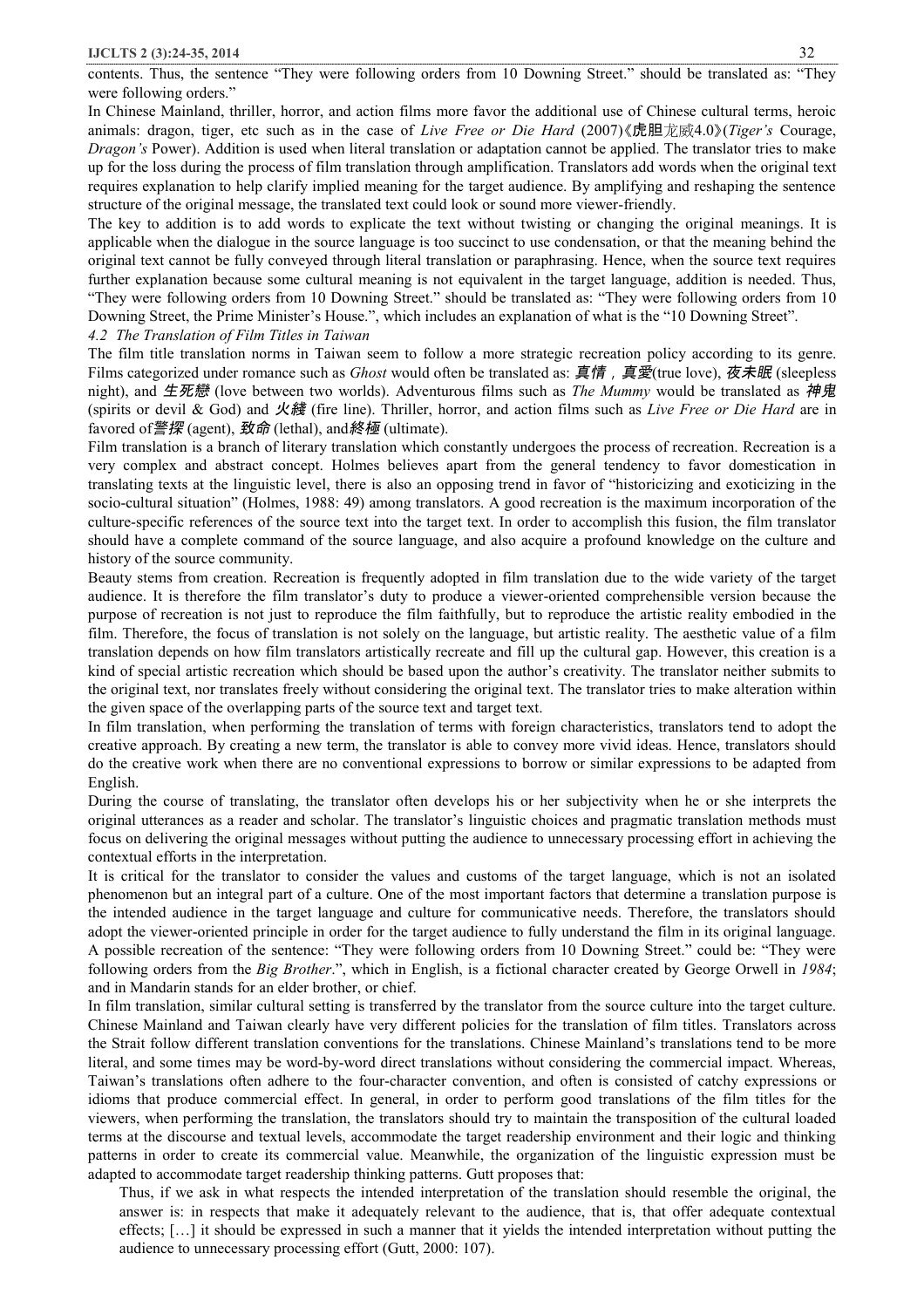contents. Thus, the sentence "They were following orders from 10 Downing Street." should be translated as: "They were following orders."

In Chinese Mainland, thriller, horror, and action films more favor the additional use of Chinese cultural terms, heroic animals: dragon, tiger, etc such as in the case of *Live Free or Die Hard* (2007)《虎胆龙威4.0》(*Tiger's* Courage, *Dragon's* Power). Addition is used when literal translation or adaptation cannot be applied. The translator tries to make up for the loss during the process of film translation through amplification. Translators add words when the original text requires explanation to help clarify implied meaning for the target audience. By amplifying and reshaping the sentence structure of the original message, the translated text could look or sound more viewer-friendly.

The key to addition is to add words to explicate the text without twisting or changing the original meanings. It is applicable when the dialogue in the source language is too succinct to use condensation, or that the meaning behind the original text cannot be fully conveyed through literal translation or paraphrasing. Hence, when the source text requires further explanation because some cultural meaning is not equivalent in the target language, addition is needed. Thus, "They were following orders from 10 Downing Street." should be translated as: "They were following orders from 10 Downing Street, the Prime Minister's House.", which includes an explanation of what is the "10 Downing Street". *4.2 The Translation of Film Titles in Taiwan* 

The film title translation norms in Taiwan seem to follow a more strategic recreation policy according to its genre. Films categorized under romance such as *Ghost* would often be translated as: *真情*,*真愛*(true love), *夜未眠* (sleepless night), and *生死戀* (love between two worlds). Adventurous films such as *The Mummy* would be translated as *神鬼* (spirits or devil & God) and *火綫* (fire line). Thriller, horror, and action films such as *Live Free or Die Hard* are in favored of*警探* (agent), *致命* (lethal), and*終極* (ultimate).

Film translation is a branch of literary translation which constantly undergoes the process of recreation. Recreation is a very complex and abstract concept. Holmes believes apart from the general tendency to favor domestication in translating texts at the linguistic level, there is also an opposing trend in favor of "historicizing and exoticizing in the socio-cultural situation" (Holmes, 1988: 49) among translators. A good recreation is the maximum incorporation of the culture-specific references of the source text into the target text. In order to accomplish this fusion, the film translator should have a complete command of the source language, and also acquire a profound knowledge on the culture and history of the source community.

Beauty stems from creation. Recreation is frequently adopted in film translation due to the wide variety of the target audience. It is therefore the film translator's duty to produce a viewer-oriented comprehensible version because the purpose of recreation is not just to reproduce the film faithfully, but to reproduce the artistic reality embodied in the film. Therefore, the focus of translation is not solely on the language, but artistic reality. The aesthetic value of a film translation depends on how film translators artistically recreate and fill up the cultural gap. However, this creation is a kind of special artistic recreation which should be based upon the author's creativity. The translator neither submits to the original text, nor translates freely without considering the original text. The translator tries to make alteration within the given space of the overlapping parts of the source text and target text.

In film translation, when performing the translation of terms with foreign characteristics, translators tend to adopt the creative approach. By creating a new term, the translator is able to convey more vivid ideas. Hence, translators should do the creative work when there are no conventional expressions to borrow or similar expressions to be adapted from English.

During the course of translating, the translator often develops his or her subjectivity when he or she interprets the original utterances as a reader and scholar. The translator's linguistic choices and pragmatic translation methods must focus on delivering the original messages without putting the audience to unnecessary processing effort in achieving the contextual efforts in the interpretation.

It is critical for the translator to consider the values and customs of the target language, which is not an isolated phenomenon but an integral part of a culture. One of the most important factors that determine a translation purpose is the intended audience in the target language and culture for communicative needs. Therefore, the translators should adopt the viewer-oriented principle in order for the target audience to fully understand the film in its original language. A possible recreation of the sentence: "They were following orders from 10 Downing Street." could be: "They were following orders from the *Big Brother*.", which in English, is a fictional character created by George Orwell in *1984*; and in Mandarin stands for an elder brother, or chief.

In film translation, similar cultural setting is transferred by the translator from the source culture into the target culture. Chinese Mainland and Taiwan clearly have very different policies for the translation of film titles. Translators across the Strait follow different translation conventions for the translations. Chinese Mainland's translations tend to be more literal, and some times may be word-by-word direct translations without considering the commercial impact. Whereas, Taiwan's translations often adhere to the four-character convention, and often is consisted of catchy expressions or idioms that produce commercial effect. In general, in order to perform good translations of the film titles for the viewers, when performing the translation, the translators should try to maintain the transposition of the cultural loaded terms at the discourse and textual levels, accommodate the target readership environment and their logic and thinking patterns in order to create its commercial value. Meanwhile, the organization of the linguistic expression must be adapted to accommodate target readership thinking patterns. Gutt proposes that:

Thus, if we ask in what respects the intended interpretation of the translation should resemble the original, the answer is: in respects that make it adequately relevant to the audience, that is, that offer adequate contextual effects; […] it should be expressed in such a manner that it yields the intended interpretation without putting the audience to unnecessary processing effort (Gutt, 2000: 107).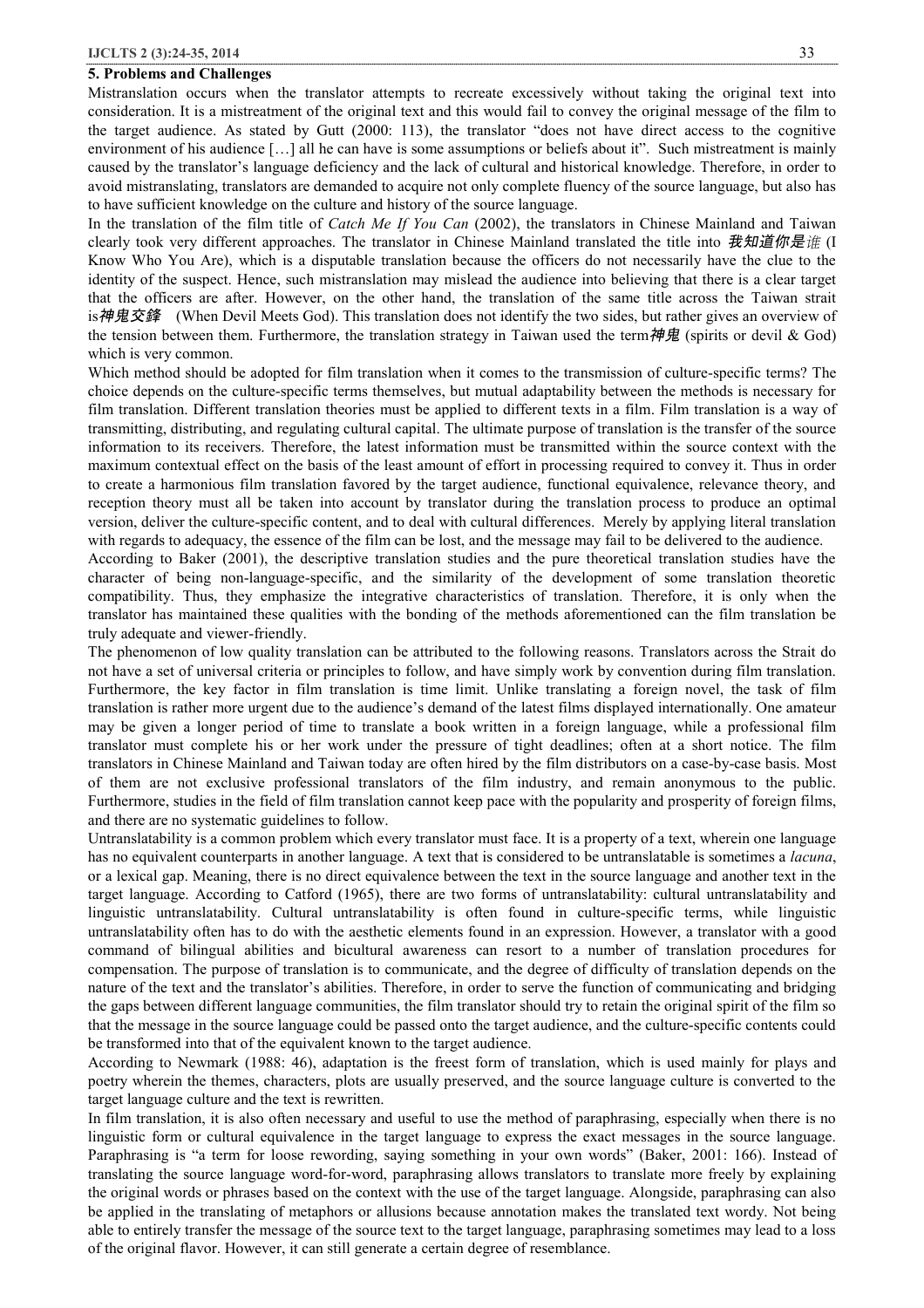# **5. Problems and Challenges**

Mistranslation occurs when the translator attempts to recreate excessively without taking the original text into consideration. It is a mistreatment of the original text and this would fail to convey the original message of the film to the target audience. As stated by Gutt (2000: 113), the translator "does not have direct access to the cognitive environment of his audience [...] all he can have is some assumptions or beliefs about it". Such mistreatment is mainly caused by the translator's language deficiency and the lack of cultural and historical knowledge. Therefore, in order to avoid mistranslating, translators are demanded to acquire not only complete fluency of the source language, but also has to have sufficient knowledge on the culture and history of the source language.

In the translation of the film title of *Catch Me If You Can* (2002), the translators in Chinese Mainland and Taiwan clearly took very different approaches. The translator in Chinese Mainland translated the title into *我知道你是谁* (I Know Who You Are), which is a disputable translation because the officers do not necessarily have the clue to the identity of the suspect. Hence, such mistranslation may mislead the audience into believing that there is a clear target that the officers are after. However, on the other hand, the translation of the same title across the Taiwan strait is*神鬼交鋒* (When Devil Meets God). This translation does not identify the two sides, but rather gives an overview of the tension between them. Furthermore, the translation strategy in Taiwan used the term*神鬼* (spirits or devil & God) which is very common.

Which method should be adopted for film translation when it comes to the transmission of culture-specific terms? The choice depends on the culture-specific terms themselves, but mutual adaptability between the methods is necessary for film translation. Different translation theories must be applied to different texts in a film. Film translation is a way of transmitting, distributing, and regulating cultural capital. The ultimate purpose of translation is the transfer of the source information to its receivers. Therefore, the latest information must be transmitted within the source context with the maximum contextual effect on the basis of the least amount of effort in processing required to convey it. Thus in order to create a harmonious film translation favored by the target audience, functional equivalence, relevance theory, and reception theory must all be taken into account by translator during the translation process to produce an optimal version, deliver the culture-specific content, and to deal with cultural differences. Merely by applying literal translation with regards to adequacy, the essence of the film can be lost, and the message may fail to be delivered to the audience.

According to Baker (2001), the descriptive translation studies and the pure theoretical translation studies have the character of being non-language-specific, and the similarity of the development of some translation theoretic compatibility. Thus, they emphasize the integrative characteristics of translation. Therefore, it is only when the translator has maintained these qualities with the bonding of the methods aforementioned can the film translation be truly adequate and viewer-friendly.

The phenomenon of low quality translation can be attributed to the following reasons. Translators across the Strait do not have a set of universal criteria or principles to follow, and have simply work by convention during film translation. Furthermore, the key factor in film translation is time limit. Unlike translating a foreign novel, the task of film translation is rather more urgent due to the audience's demand of the latest films displayed internationally. One amateur may be given a longer period of time to translate a book written in a foreign language, while a professional film translator must complete his or her work under the pressure of tight deadlines; often at a short notice. The film translators in Chinese Mainland and Taiwan today are often hired by the film distributors on a case-by-case basis. Most of them are not exclusive professional translators of the film industry, and remain anonymous to the public. Furthermore, studies in the field of film translation cannot keep pace with the popularity and prosperity of foreign films, and there are no systematic guidelines to follow.

Untranslatability is a common problem which every translator must face. It is a property of a text, wherein one language has no equivalent counterparts in another language. A text that is considered to be untranslatable is sometimes a *lacuna*, or a lexical gap. Meaning, there is no direct equivalence between the text in the source language and another text in the target language. According to Catford (1965), there are two forms of untranslatability: cultural untranslatability and linguistic untranslatability. Cultural untranslatability is often found in culture-specific terms, while linguistic untranslatability often has to do with the aesthetic elements found in an expression. However, a translator with a good command of bilingual abilities and bicultural awareness can resort to a number of translation procedures for compensation. The purpose of translation is to communicate, and the degree of difficulty of translation depends on the nature of the text and the translator's abilities. Therefore, in order to serve the function of communicating and bridging the gaps between different language communities, the film translator should try to retain the original spirit of the film so that the message in the source language could be passed onto the target audience, and the culture-specific contents could be transformed into that of the equivalent known to the target audience.

According to Newmark (1988: 46), adaptation is the freest form of translation, which is used mainly for plays and poetry wherein the themes, characters, plots are usually preserved, and the source language culture is converted to the target language culture and the text is rewritten.

In film translation, it is also often necessary and useful to use the method of paraphrasing, especially when there is no linguistic form or cultural equivalence in the target language to express the exact messages in the source language. Paraphrasing is "a term for loose rewording, saying something in your own words" (Baker, 2001: 166). Instead of translating the source language word-for-word, paraphrasing allows translators to translate more freely by explaining the original words or phrases based on the context with the use of the target language. Alongside, paraphrasing can also be applied in the translating of metaphors or allusions because annotation makes the translated text wordy. Not being able to entirely transfer the message of the source text to the target language, paraphrasing sometimes may lead to a loss of the original flavor. However, it can still generate a certain degree of resemblance.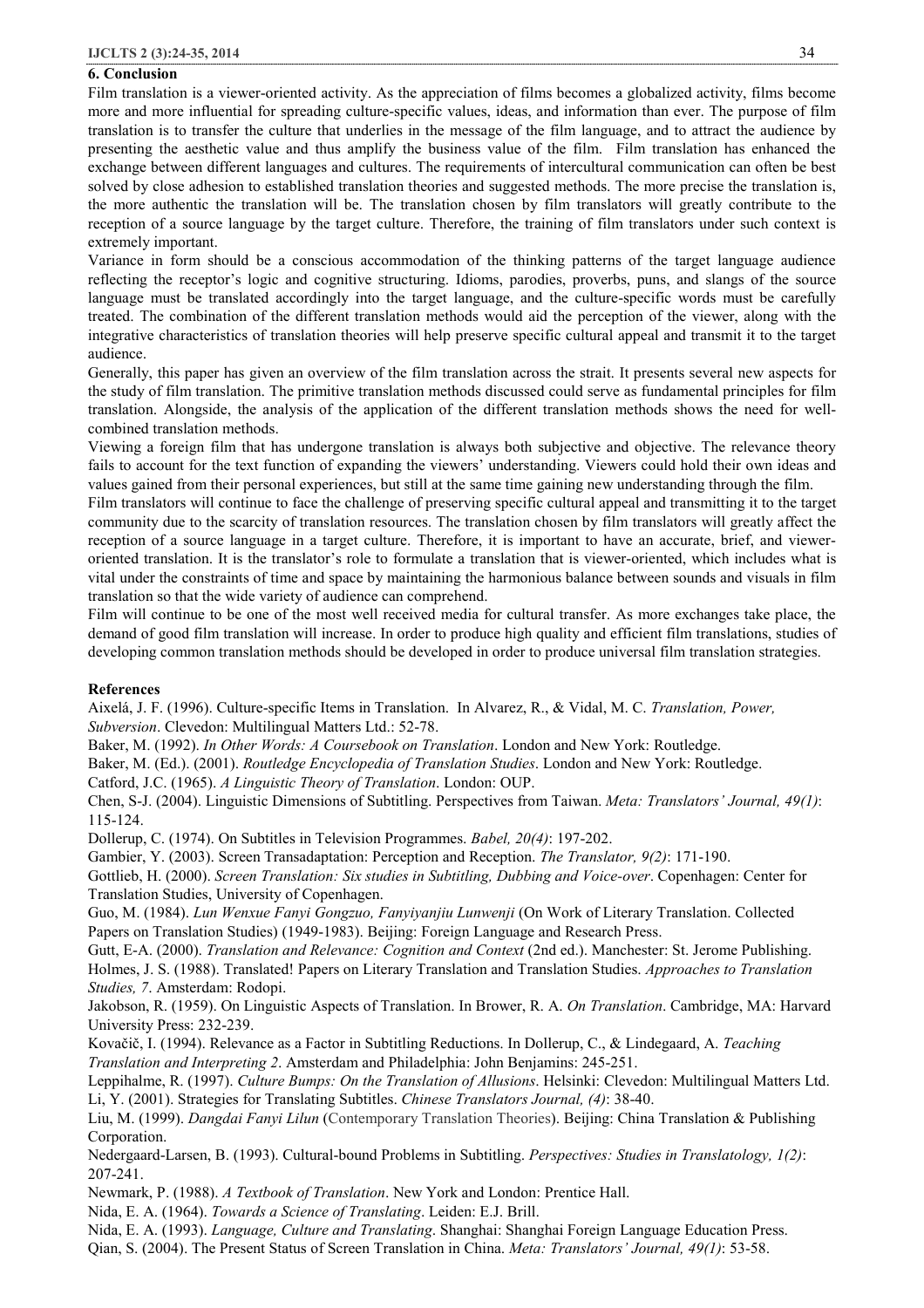# **6. Conclusion**

Film translation is a viewer-oriented activity. As the appreciation of films becomes a globalized activity, films become more and more influential for spreading culture-specific values, ideas, and information than ever. The purpose of film translation is to transfer the culture that underlies in the message of the film language, and to attract the audience by presenting the aesthetic value and thus amplify the business value of the film. Film translation has enhanced the exchange between different languages and cultures. The requirements of intercultural communication can often be best solved by close adhesion to established translation theories and suggested methods. The more precise the translation is, the more authentic the translation will be. The translation chosen by film translators will greatly contribute to the reception of a source language by the target culture. Therefore, the training of film translators under such context is extremely important.

Variance in form should be a conscious accommodation of the thinking patterns of the target language audience reflecting the receptor's logic and cognitive structuring. Idioms, parodies, proverbs, puns, and slangs of the source language must be translated accordingly into the target language, and the culture-specific words must be carefully treated. The combination of the different translation methods would aid the perception of the viewer, along with the integrative characteristics of translation theories will help preserve specific cultural appeal and transmit it to the target audience.

Generally, this paper has given an overview of the film translation across the strait. It presents several new aspects for the study of film translation. The primitive translation methods discussed could serve as fundamental principles for film translation. Alongside, the analysis of the application of the different translation methods shows the need for wellcombined translation methods.

Viewing a foreign film that has undergone translation is always both subjective and objective. The relevance theory fails to account for the text function of expanding the viewers' understanding. Viewers could hold their own ideas and values gained from their personal experiences, but still at the same time gaining new understanding through the film.

Film translators will continue to face the challenge of preserving specific cultural appeal and transmitting it to the target community due to the scarcity of translation resources. The translation chosen by film translators will greatly affect the reception of a source language in a target culture. Therefore, it is important to have an accurate, brief, and vieweroriented translation. It is the translator's role to formulate a translation that is viewer-oriented, which includes what is vital under the constraints of time and space by maintaining the harmonious balance between sounds and visuals in film translation so that the wide variety of audience can comprehend.

Film will continue to be one of the most well received media for cultural transfer. As more exchanges take place, the demand of good film translation will increase. In order to produce high quality and efficient film translations, studies of developing common translation methods should be developed in order to produce universal film translation strategies.

### **References**

Aixelá, J. F. (1996). Culture-specific Items in Translation. In Alvarez, R., & Vidal, M. C. *Translation, Power, Subversion*. Clevedon: Multilingual Matters Ltd.: 52-78.

Baker, M. (1992). *In Other Words: A Coursebook on Translation*. London and New York: Routledge.

Baker, M. (Ed.). (2001). *Routledge Encyclopedia of Translation Studies*. London and New York: Routledge.

Catford, J.C. (1965). *A Linguistic Theory of Translation*. London: OUP.

Chen, S-J. (2004). Linguistic Dimensions of Subtitling. Perspectives from Taiwan. *Meta: Translators' Journal, 49(1)*: 115-124.

Dollerup, C. (1974). On Subtitles in Television Programmes. *Babel, 20(4)*: 197-202.

Gambier, Y. (2003). Screen Transadaptation: Perception and Reception. *The Translator, 9(2)*: 171-190.

Gottlieb, H. (2000). *Screen Translation: Six studies in Subtitling, Dubbing and Voice-over*. Copenhagen: Center for Translation Studies, University of Copenhagen.

Guo, M. (1984). *Lun Wenxue Fanyi Gongzuo, Fanyiyanjiu Lunwenji* (On Work of Literary Translation. Collected Papers on Translation Studies) (1949-1983). Beijing: Foreign Language and Research Press.

Gutt, E-A. (2000). *Translation and Relevance: Cognition and Context* (2nd ed.). Manchester: St. Jerome Publishing. Holmes, J. S. (1988). Translated! Papers on Literary Translation and Translation Studies. *Approaches to Translation Studies, 7*. Amsterdam: Rodopi.

Jakobson, R. (1959). On Linguistic Aspects of Translation. In Brower, R. A. *On Translation*. Cambridge, MA: Harvard University Press: 232-239.

Kovačič, I. (1994). Relevance as a Factor in Subtitling Reductions. In Dollerup, C., & Lindegaard, A. *Teaching Translation and Interpreting 2*. Amsterdam and Philadelphia: John Benjamins: 245-251.

Leppihalme, R. (1997). *Culture Bumps: On the Translation of Allusions*. Helsinki: Clevedon: Multilingual Matters Ltd. Li, Y. (2001). Strategies for Translating Subtitles. *Chinese Translators Journal, (4)*: 38-40.

Liu, M. (1999). *Dangdai Fanyi Lilun* (Contemporary Translation Theories). Beijing: China Translation & Publishing Corporation.

Nedergaard-Larsen, B. (1993). Cultural-bound Problems in Subtitling. *Perspectives: Studies in Translatology, 1(2)*: 207-241.

Newmark, P. (1988). *A Textbook of Translation*. New York and London: Prentice Hall.

Nida, E. A. (1964). *Towards a Science of Translating*. Leiden: E.J. Brill.

Nida, E. A. (1993). *Language, Culture and Translating*. Shanghai: Shanghai Foreign Language Education Press.

Qian, S. (2004). The Present Status of Screen Translation in China. *Meta: Translators' Journal, 49(1)*: 53-58.